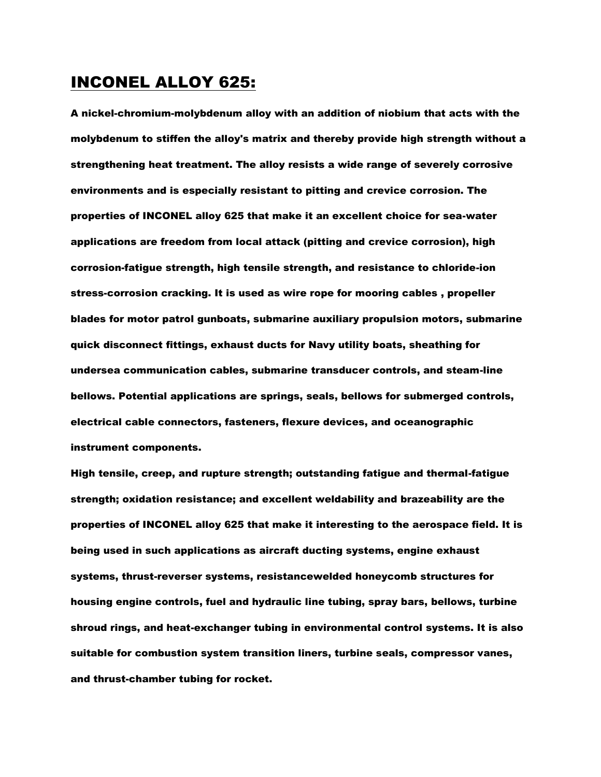### INCONEL ALLOY 625:

A nickel-chromium-molybdenum alloy with an addition of niobium that acts with the molybdenum to stiffen the alloy's matrix and thereby provide high strength without a strengthening heat treatment. The alloy resists a wide range of severely corrosive environments and is especially resistant to pitting and crevice corrosion. The properties of INCONEL alloy 625 that make it an excellent choice for sea-water applications are freedom from local attack (pitting and crevice corrosion), high corrosion-fatigue strength, high tensile strength, and resistance to chloride-ion stress-corrosion cracking. It is used as wire rope for mooring cables , propeller blades for motor patrol gunboats, submarine auxiliary propulsion motors, submarine quick disconnect fittings, exhaust ducts for Navy utility boats, sheathing for undersea communication cables, submarine transducer controls, and steam-line bellows. Potential applications are springs, seals, bellows for submerged controls, electrical cable connectors, fasteners, flexure devices, and oceanographic instrument components.

High tensile, creep, and rupture strength; outstanding fatigue and thermal-fatigue strength; oxidation resistance; and excellent weldability and brazeability are the properties of INCONEL alloy 625 that make it interesting to the aerospace field. It is being used in such applications as aircraft ducting systems, engine exhaust systems, thrust-reverser systems, resistancewelded honeycomb structures for housing engine controls, fuel and hydraulic line tubing, spray bars, bellows, turbine shroud rings, and heat-exchanger tubing in environmental control systems. It is also suitable for combustion system transition liners, turbine seals, compressor vanes, and thrust-chamber tubing for rocket.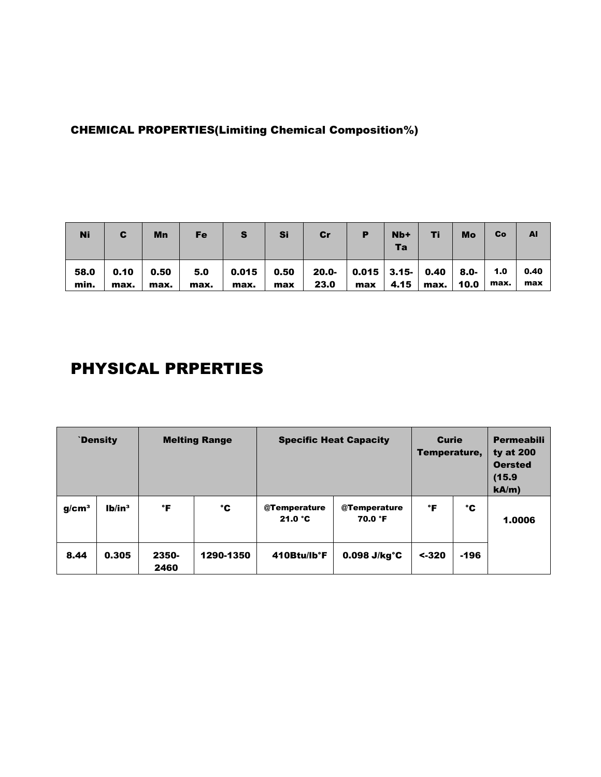### CHEMICAL PROPERTIES(Limiting Chemical Composition%)

| <b>Ni</b>    | C            | Mn             | Fe   | s    | Si  | Cr                                                                                                                     | $Nb+$<br>Та | Τi        | Mo | Co   | AI          |
|--------------|--------------|----------------|------|------|-----|------------------------------------------------------------------------------------------------------------------------|-------------|-----------|----|------|-------------|
| 58.0<br>min. | 0.10<br>max. | 0.50  <br>max. | max. | max. | max | 5.0 $\vert$ 0.015 $\vert$ 0.50 $\vert$ 20.0- $\vert$ 0.015 $\vert$ 3.15- $\vert$ 0.40 $\vert$ 8.0- $\vert$ 1.0<br>23.0 | $max$ 4.15  | max. 10.0 |    | max. | 0.40<br>max |

# PHYSICAL PRPERTIES

| `Density          |                |               | <b>Melting Range</b> | <b>Specific Heat Capacity</b> | <b>Curie</b><br>Temperature, |          | <b>Permeabili</b><br>ty at $200$<br><b>Oersted</b><br>(15.9)<br>kA/m |        |
|-------------------|----------------|---------------|----------------------|-------------------------------|------------------------------|----------|----------------------------------------------------------------------|--------|
| g/cm <sup>3</sup> | 1 <sup>h</sup> | °F            | °C                   | @Temperature<br>21.0 °C       | @Temperature<br>70.0 °F      | °F       | °C                                                                   | 1.0006 |
| 8.44              | 0.305          | 2350-<br>2460 | 1290-1350            | 410Btu/lb°F                   | $0.098$ J/kg $^{\circ}$ C    | $< -320$ | $-196$                                                               |        |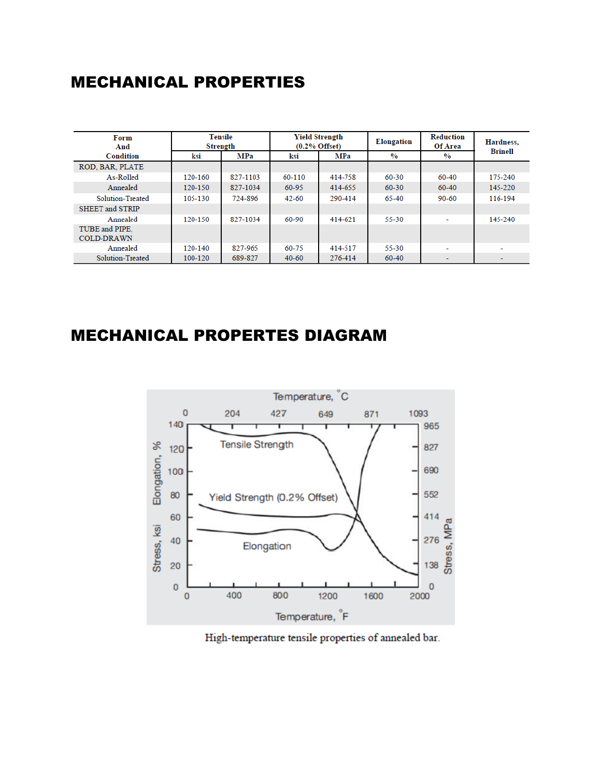### MECHANICAL PROPERTIES

| Form<br>And                         | Tensile<br>Strength |            |           | Yield Strength<br>$(0.2%$ Offset) | Elongation    | Reduction<br>Of Area | Hardness. |  |
|-------------------------------------|---------------------|------------|-----------|-----------------------------------|---------------|----------------------|-----------|--|
| <b>Condition</b>                    | ksi                 | <b>MPa</b> | ksi       | MPa                               | $\frac{0}{0}$ | $\frac{0}{0}$        | Brinell   |  |
| ROD. BAR. PLATE                     |                     |            |           |                                   |               |                      |           |  |
| As-Rolled                           | 120-160             | 827-1103   | 60-110    | 414-758                           | 60-30         | 60-40                | 175-240   |  |
| Annealed                            | 120-150             | 827-1034   | 60-95     | 414-655                           | $60 - 30$     | 60-40                | 145-220   |  |
| Solution-Treated                    | 105-130             | 724-896    | $42 - 60$ | 290-414                           | 65-40         | $90 - 60$            | 116-194   |  |
| <b>SHEET and STRIP</b>              |                     |            |           |                                   |               |                      |           |  |
| Annealed                            | 120-150             | 827-1034   | 60-90     | 414-621                           | 55-30         | ٠                    | 145-240   |  |
| TUBE and PIPE.<br><b>COLD-DRAWN</b> |                     |            |           |                                   |               |                      |           |  |
| Annealed                            | 120-140             | 827-965    | 60-75     | 414-517                           | 55-30         | ۰                    |           |  |
| Solution-Treated                    | 100-120             | 689-827    | $40 - 60$ | 276-414                           | 60-40         |                      | $\sim$    |  |

## MECHANICAL PROPERTES DIAGRAM



High-temperature tensile properties of annealed bar.